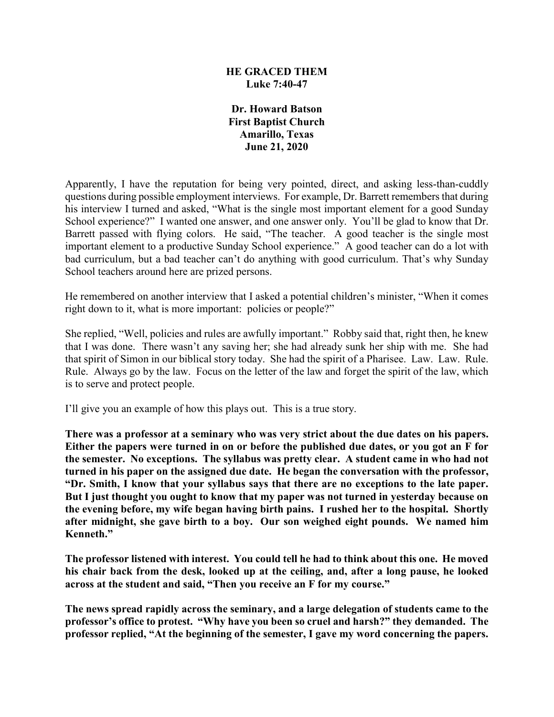### **HE GRACED THEM Luke 7:40-47**

**Dr. Howard Batson First Baptist Church Amarillo, Texas June 21, 2020**

Apparently, I have the reputation for being very pointed, direct, and asking less-than-cuddly questions during possible employment interviews. For example, Dr. Barrett remembers that during his interview I turned and asked, "What is the single most important element for a good Sunday School experience?" I wanted one answer, and one answer only. You'll be glad to know that Dr. Barrett passed with flying colors. He said, "The teacher. A good teacher is the single most important element to a productive Sunday School experience." A good teacher can do a lot with bad curriculum, but a bad teacher can't do anything with good curriculum. That's why Sunday School teachers around here are prized persons.

He remembered on another interview that I asked a potential children's minister, "When it comes right down to it, what is more important: policies or people?"

She replied, "Well, policies and rules are awfully important." Robby said that, right then, he knew that I was done. There wasn't any saving her; she had already sunk her ship with me. She had that spirit of Simon in our biblical story today. She had the spirit of a Pharisee. Law. Law. Rule. Rule. Always go by the law. Focus on the letter of the law and forget the spirit of the law, which is to serve and protect people.

I'll give you an example of how this plays out. This is a true story.

**There was a professor at a seminary who was very strict about the due dates on his papers. Either the papers were turned in on or before the published due dates, or you got an F for the semester. No exceptions. The syllabus was pretty clear. A student came in who had not turned in his paper on the assigned due date. He began the conversation with the professor, "Dr. Smith, I know that your syllabus says that there are no exceptions to the late paper. But I just thought you ought to know that my paper was not turned in yesterday because on the evening before, my wife began having birth pains. I rushed her to the hospital. Shortly after midnight, she gave birth to a boy. Our son weighed eight pounds. We named him Kenneth."**

**The professor listened with interest. You could tell he had to think about this one. He moved his chair back from the desk, looked up at the ceiling, and, after a long pause, he looked across at the student and said, "Then you receive an F for my course."**

**The news spread rapidly across the seminary, and a large delegation of students came to the professor's office to protest. "Why have you been so cruel and harsh?" they demanded. The professor replied, "At the beginning of the semester, I gave my word concerning the papers.**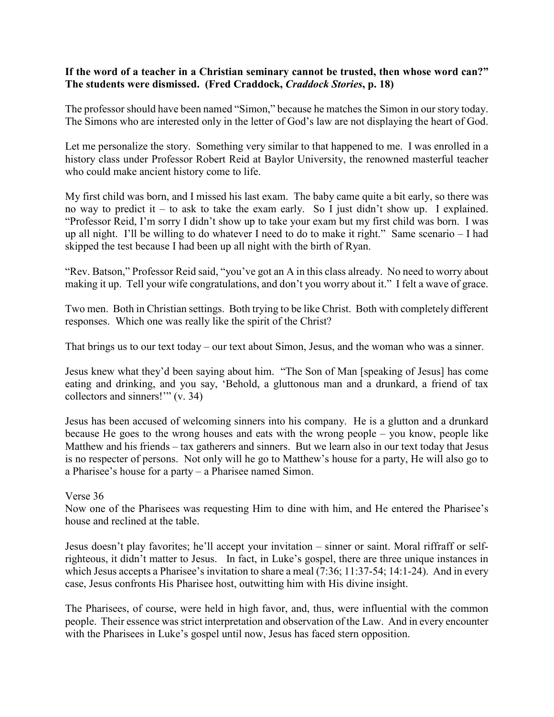### **If the word of a teacher in a Christian seminary cannot be trusted, then whose word can?" The students were dismissed. (Fred Craddock,** *Craddock Stories***, p. 18)**

The professor should have been named "Simon," because he matches the Simon in our story today. The Simons who are interested only in the letter of God's law are not displaying the heart of God.

Let me personalize the story. Something very similar to that happened to me. I was enrolled in a history class under Professor Robert Reid at Baylor University, the renowned masterful teacher who could make ancient history come to life.

My first child was born, and I missed his last exam. The baby came quite a bit early, so there was no way to predict it – to ask to take the exam early. So I just didn't show up. I explained. "Professor Reid, I'm sorry I didn't show up to take your exam but my first child was born. I was up all night. I'll be willing to do whatever I need to do to make it right." Same scenario – I had skipped the test because I had been up all night with the birth of Ryan.

"Rev. Batson," Professor Reid said, "you've got an A in this class already. No need to worry about making it up. Tell your wife congratulations, and don't you worry about it." I felt a wave of grace.

Two men. Both in Christian settings. Both trying to be like Christ. Both with completely different responses. Which one was really like the spirit of the Christ?

That brings us to our text today – our text about Simon, Jesus, and the woman who was a sinner.

Jesus knew what they'd been saying about him. "The Son of Man [speaking of Jesus] has come eating and drinking, and you say, 'Behold, a gluttonous man and a drunkard, a friend of tax collectors and sinners!'" (v. 34)

Jesus has been accused of welcoming sinners into his company. He is a glutton and a drunkard because He goes to the wrong houses and eats with the wrong people – you know, people like Matthew and his friends – tax gatherers and sinners. But we learn also in our text today that Jesus is no respecter of persons. Not only will he go to Matthew's house for a party, He will also go to a Pharisee's house for a party – a Pharisee named Simon.

#### Verse 36

Now one of the Pharisees was requesting Him to dine with him, and He entered the Pharisee's house and reclined at the table.

Jesus doesn't play favorites; he'll accept your invitation – sinner or saint. Moral riffraff or selfrighteous, it didn't matter to Jesus. In fact, in Luke's gospel, there are three unique instances in which Jesus accepts a Pharisee's invitation to share a meal (7:36; 11:37-54; 14:1-24). And in every case, Jesus confronts His Pharisee host, outwitting him with His divine insight.

The Pharisees, of course, were held in high favor, and, thus, were influential with the common people. Their essence was strict interpretation and observation of the Law. And in every encounter with the Pharisees in Luke's gospel until now, Jesus has faced stern opposition.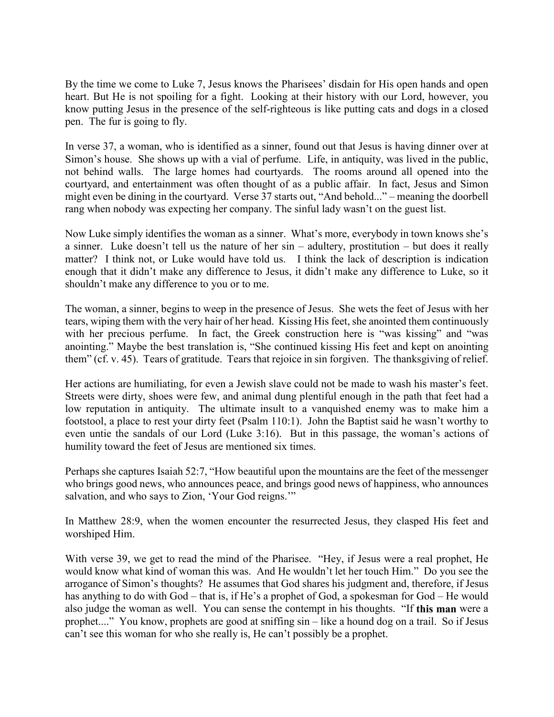By the time we come to Luke 7, Jesus knows the Pharisees' disdain for His open hands and open heart. But He is not spoiling for a fight. Looking at their history with our Lord, however, you know putting Jesus in the presence of the self-righteous is like putting cats and dogs in a closed pen. The fur is going to fly.

In verse 37, a woman, who is identified as a sinner, found out that Jesus is having dinner over at Simon's house. She shows up with a vial of perfume. Life, in antiquity, was lived in the public, not behind walls. The large homes had courtyards. The rooms around all opened into the courtyard, and entertainment was often thought of as a public affair. In fact, Jesus and Simon might even be dining in the courtyard. Verse 37 starts out, "And behold..." – meaning the doorbell rang when nobody was expecting her company. The sinful lady wasn't on the guest list.

Now Luke simply identifies the woman as a sinner. What's more, everybody in town knows she's a sinner. Luke doesn't tell us the nature of her sin – adultery, prostitution – but does it really matter? I think not, or Luke would have told us. I think the lack of description is indication enough that it didn't make any difference to Jesus, it didn't make any difference to Luke, so it shouldn't make any difference to you or to me.

The woman, a sinner, begins to weep in the presence of Jesus. She wets the feet of Jesus with her tears, wiping them with the very hair of her head. Kissing His feet, she anointed them continuously with her precious perfume. In fact, the Greek construction here is "was kissing" and "was anointing." Maybe the best translation is, "She continued kissing His feet and kept on anointing them" (cf. v. 45). Tears of gratitude. Tears that rejoice in sin forgiven. The thanksgiving of relief.

Her actions are humiliating, for even a Jewish slave could not be made to wash his master's feet. Streets were dirty, shoes were few, and animal dung plentiful enough in the path that feet had a low reputation in antiquity. The ultimate insult to a vanquished enemy was to make him a footstool, a place to rest your dirty feet (Psalm 110:1). John the Baptist said he wasn't worthy to even untie the sandals of our Lord (Luke 3:16). But in this passage, the woman's actions of humility toward the feet of Jesus are mentioned six times.

Perhaps she captures Isaiah 52:7, "How beautiful upon the mountains are the feet of the messenger who brings good news, who announces peace, and brings good news of happiness, who announces salvation, and who says to Zion, 'Your God reigns.'"

In Matthew 28:9, when the women encounter the resurrected Jesus, they clasped His feet and worshiped Him.

With verse 39, we get to read the mind of the Pharisee. "Hey, if Jesus were a real prophet, He would know what kind of woman this was. And He wouldn't let her touch Him." Do you see the arrogance of Simon's thoughts? He assumes that God shares his judgment and, therefore, if Jesus has anything to do with God – that is, if He's a prophet of God, a spokesman for God – He would also judge the woman as well. You can sense the contempt in his thoughts. "If **this man** were a prophet...." You know, prophets are good at sniffing sin – like a hound dog on a trail. So if Jesus can't see this woman for who she really is, He can't possibly be a prophet.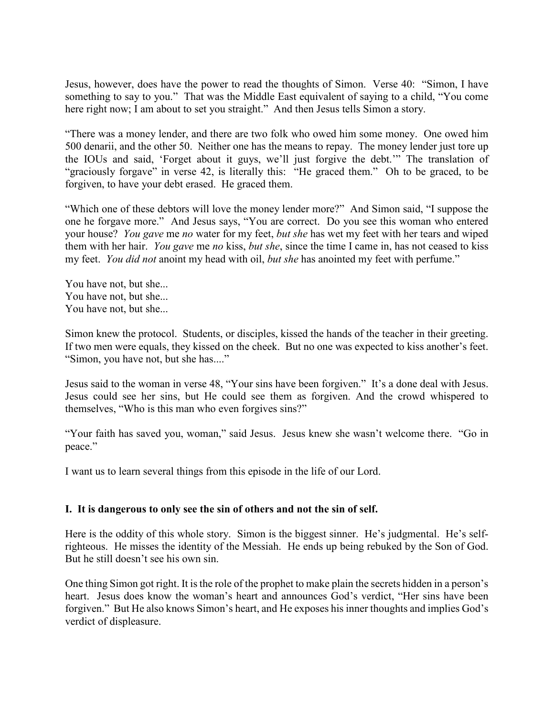Jesus, however, does have the power to read the thoughts of Simon. Verse 40: "Simon, I have something to say to you." That was the Middle East equivalent of saying to a child, "You come here right now; I am about to set you straight." And then Jesus tells Simon a story.

"There was a money lender, and there are two folk who owed him some money. One owed him 500 denarii, and the other 50. Neither one has the means to repay. The money lender just tore up the IOUs and said, 'Forget about it guys, we'll just forgive the debt.'" The translation of "graciously forgave" in verse 42, is literally this: "He graced them." Oh to be graced, to be forgiven, to have your debt erased. He graced them.

"Which one of these debtors will love the money lender more?" And Simon said, "I suppose the one he forgave more." And Jesus says, "You are correct. Do you see this woman who entered your house? *You gave* me *no* water for my feet, *but she* has wet my feet with her tears and wiped them with her hair. *You gave* me *no* kiss, *but she*, since the time I came in, has not ceased to kiss my feet. *You did not* anoint my head with oil, *but she* has anointed my feet with perfume."

You have not, but she... You have not, but she... You have not, but she...

Simon knew the protocol. Students, or disciples, kissed the hands of the teacher in their greeting. If two men were equals, they kissed on the cheek. But no one was expected to kiss another's feet. "Simon, you have not, but she has...."

Jesus said to the woman in verse 48, "Your sins have been forgiven." It's a done deal with Jesus. Jesus could see her sins, but He could see them as forgiven. And the crowd whispered to themselves, "Who is this man who even forgives sins?"

"Your faith has saved you, woman," said Jesus. Jesus knew she wasn't welcome there. "Go in peace."

I want us to learn several things from this episode in the life of our Lord.

#### **I. It is dangerous to only see the sin of others and not the sin of self.**

Here is the oddity of this whole story. Simon is the biggest sinner. He's judgmental. He's selfrighteous. He misses the identity of the Messiah. He ends up being rebuked by the Son of God. But he still doesn't see his own sin.

One thing Simon got right. It is the role of the prophet to make plain the secrets hidden in a person's heart. Jesus does know the woman's heart and announces God's verdict, "Her sins have been forgiven." But He also knows Simon's heart, and He exposes his inner thoughts and implies God's verdict of displeasure.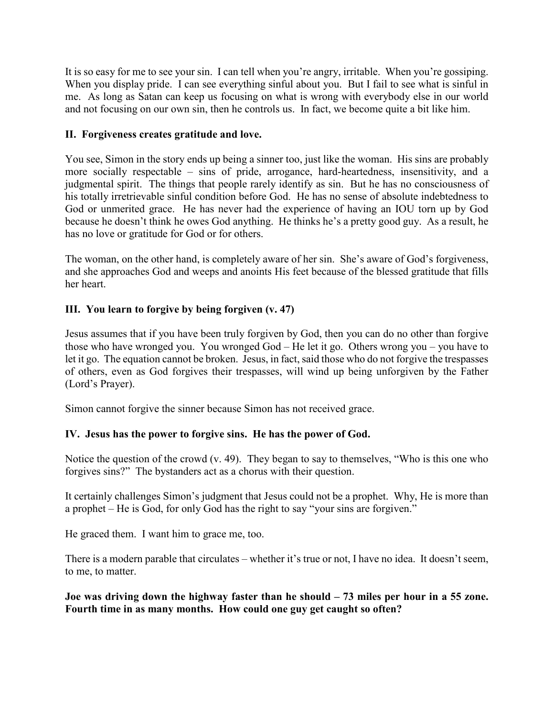It is so easy for me to see your sin. I can tell when you're angry, irritable. When you're gossiping. When you display pride. I can see everything sinful about you. But I fail to see what is sinful in me. As long as Satan can keep us focusing on what is wrong with everybody else in our world and not focusing on our own sin, then he controls us. In fact, we become quite a bit like him.

## **II. Forgiveness creates gratitude and love.**

You see, Simon in the story ends up being a sinner too, just like the woman. His sins are probably more socially respectable – sins of pride, arrogance, hard-heartedness, insensitivity, and a judgmental spirit. The things that people rarely identify as sin. But he has no consciousness of his totally irretrievable sinful condition before God. He has no sense of absolute indebtedness to God or unmerited grace. He has never had the experience of having an IOU torn up by God because he doesn't think he owes God anything. He thinks he's a pretty good guy. As a result, he has no love or gratitude for God or for others.

The woman, on the other hand, is completely aware of her sin. She's aware of God's forgiveness, and she approaches God and weeps and anoints His feet because of the blessed gratitude that fills her heart.

# **III. You learn to forgive by being forgiven (v. 47)**

Jesus assumes that if you have been truly forgiven by God, then you can do no other than forgive those who have wronged you. You wronged God – He let it go. Others wrong you – you have to let it go. The equation cannot be broken. Jesus, in fact, said those who do not forgive the trespasses of others, even as God forgives their trespasses, will wind up being unforgiven by the Father (Lord's Prayer).

Simon cannot forgive the sinner because Simon has not received grace.

# **IV. Jesus has the power to forgive sins. He has the power of God.**

Notice the question of the crowd (v. 49). They began to say to themselves, "Who is this one who forgives sins?" The bystanders act as a chorus with their question.

It certainly challenges Simon's judgment that Jesus could not be a prophet. Why, He is more than a prophet – He is God, for only God has the right to say "your sins are forgiven."

He graced them. I want him to grace me, too.

There is a modern parable that circulates – whether it's true or not, I have no idea. It doesn't seem, to me, to matter.

**Joe was driving down the highway faster than he should – 73 miles per hour in a 55 zone. Fourth time in as many months. How could one guy get caught so often?**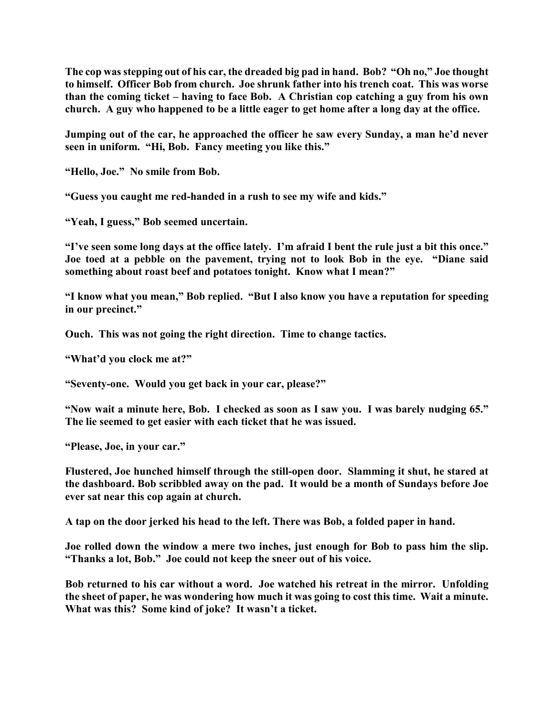**The cop was stepping out of his car, the dreaded big pad in hand. Bob? "Oh no," Joe thought to himself. Officer Bob from church. Joe shrunk father into his trench coat. This was worse than the coming ticket – having to face Bob. A Christian cop catching a guy from his own church. A guy who happened to be a little eager to get home after a long day at the office.** 

**Jumping out of the car, he approached the officer he saw every Sunday, a man he'd never seen in uniform. "Hi, Bob. Fancy meeting you like this."**

**"Hello, Joe." No smile from Bob.**

**"Guess you caught me red-handed in a rush to see my wife and kids."**

**"Yeah, I guess," Bob seemed uncertain.**

**"I've seen some long days at the office lately. I'm afraid I bent the rule just a bit this once." Joe toed at a pebble on the pavement, trying not to look Bob in the eye. "Diane said something about roast beef and potatoes tonight. Know what I mean?"**

**"I know what you mean," Bob replied. "But I also know you have a reputation for speeding in our precinct."**

**Ouch. This was not going the right direction. Time to change tactics.**

**"What'd you clock me at?"**

**"Seventy-one. Would you get back in your car, please?"**

**"Now wait a minute here, Bob. I checked as soon as I saw you. I was barely nudging 65." The lie seemed to get easier with each ticket that he was issued.**

**"Please, Joe, in your car."**

**Flustered, Joe hunched himself through the still-open door. Slamming it shut, he stared at the dashboard. Bob scribbled away on the pad. It would be a month of Sundays before Joe ever sat near this cop again at church.**

**A tap on the door jerked his head to the left. There was Bob, a folded paper in hand.**

**Joe rolled down the window a mere two inches, just enough for Bob to pass him the slip. "Thanks a lot, Bob." Joe could not keep the sneer out of his voice.**

**Bob returned to his car without a word. Joe watched his retreat in the mirror. Unfolding the sheet of paper, he was wondering how much it was going to cost this time. Wait a minute. What was this? Some kind of joke? It wasn't a ticket.**